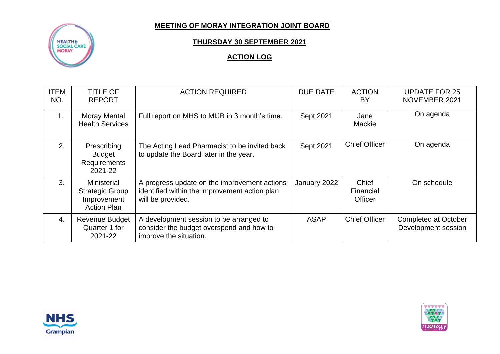## **MEETING OF MORAY INTEGRATION JOINT BOARD**



## **THURSDAY 30 SEPTEMBER 2021**

## **ACTION LOG**

| <b>ITEM</b><br>NO. | <b>TITLE OF</b><br><b>REPORT</b>                                                  | <b>ACTION REQUIRED</b>                                                                                             | <b>DUE DATE</b> | <b>ACTION</b><br>BY                  | <b>UPDATE FOR 25</b><br>NOVEMBER 2021              |
|--------------------|-----------------------------------------------------------------------------------|--------------------------------------------------------------------------------------------------------------------|-----------------|--------------------------------------|----------------------------------------------------|
| 1 <sub>1</sub>     | <b>Moray Mental</b><br><b>Health Services</b>                                     | Full report on MHS to MIJB in 3 month's time.                                                                      | Sept 2021       | Jane<br>Mackie                       | On agenda                                          |
| 2.                 | Prescribing<br><b>Budget</b><br>Requirements<br>2021-22                           | The Acting Lead Pharmacist to be invited back<br>to update the Board later in the year.                            | Sept 2021       | <b>Chief Officer</b>                 | On agenda                                          |
| 3.                 | <b>Ministerial</b><br><b>Strategic Group</b><br>Improvement<br><b>Action Plan</b> | A progress update on the improvement actions<br>identified within the improvement action plan<br>will be provided. | January 2022    | Chief<br>Financial<br><b>Officer</b> | On schedule                                        |
| 4.                 | <b>Revenue Budget</b><br>Quarter 1 for<br>2021-22                                 | A development session to be arranged to<br>consider the budget overspend and how to<br>improve the situation.      | <b>ASAP</b>     | <b>Chief Officer</b>                 | <b>Completed at October</b><br>Development session |